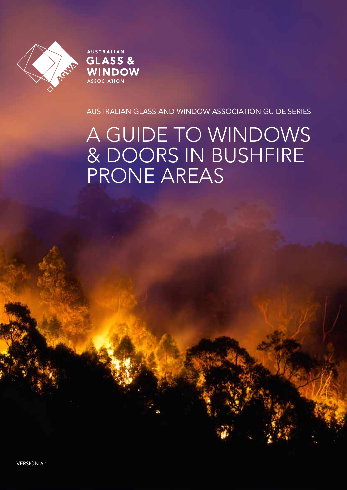

AUSTRALIAN GLASS & **WINDOW ASSOCIATION** 

AUSTRALIAN GLASS AND WINDOW ASSOCIATION GUIDE SERIES

# A GUIDE TO WINDOWS & DOORS IN BUSHFIRE PRONE AREAS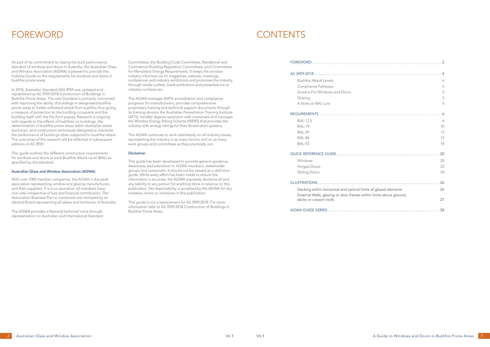As part of its commitment to raising the built performance standard of windows and doors in Australia, the Australian Glass and Window Association (AGWA) is pleased to provide this Industry Guide on the requirements for windows and doors in bushfire prone areas.

In 2018, Australian Standard (AS) 3959 was updated and republished as AS 3959:2018 Construction of Buildings in Bushfire Prone Areas. The new Standard is primarily concerned with improving the ability of buildings in designated bushfire prone areas to better withstand attack from bushfire thus giving a measure of protection to the building occupants and the building itself until the fire front passes. Research is ongoing with regards to the effects of bushfires on buildings, the determination of bushfire prone areas within Australian states territories, and construction techniques designed to maximise the performance of buildings when subjected to bushfire attack. The outcomes of this research will be reflected in subsequent editions of AS 3959.

This guide outlines the different construction requirements for windows and doors at each Bushfire Attack Level (BAL) as specified by the standard.

### Australian Glass and Window Association (AGWA)

With over 1000 member companies, the AGWA is the peak association representing window and glazing manufacturers and their suppliers. It is a co-operative: all members have one vote irrespective of size and financial contribution. The Association Business Plan is monitored and reviewed by an elected Board representing all states and territories of Australia.

The AGWA provides a National technical voice through representation on Australian and International Standard Committees; the Building Code Committee; Residential and Commercial Building Regulation Committees; and Committees for Mandatory Energy Requirements. It keeps the window industry informed via it's magazines, website, meetings, conferences and industry exhibitions and promotes the industry through media outlets, trade exhibitions and presentations at industry conferences.

| <b>Bushfire Attack Levels</b>                                      | 4  |
|--------------------------------------------------------------------|----|
| Compliance Pathways                                                | 4  |
| Screens For Windows and Doors                                      | 5  |
| Glazing                                                            | 5  |
| A Note on BAL-Low                                                  | 5  |
|                                                                    |    |
| <b>BAL-12.5</b>                                                    | 6  |
| <b>BAL-19</b>                                                      | 10 |
| <b>BAL-29</b>                                                      | 12 |
| <b>BAL-40</b>                                                      | 15 |
| <b>BAL-FZ</b>                                                      | 18 |
|                                                                    | 20 |
| Windows                                                            | 20 |
| <b>Hinged Doors</b>                                                | 22 |
| <b>Sliding Doors</b>                                               | 24 |
|                                                                    | 26 |
| Decking within horizontal and vertical limits of glazed elements   | 26 |
| External Walls, glazing or door frames within limits above ground, |    |
| decks or carport roofs                                             | 27 |
|                                                                    |    |

The AGWA manages NATA accreditation and compliance programs for manufacturers, provides comprehensive proprietary training and technical support documents through its training division the Australian Fenestration Training Institute (AFTI), handles dispute resolution with consumers and manages the Window Energy Rating Scheme (WERS) that provides the industry with energy ratings for their fenestration systems.

The AGWA continues to work relentlessly on all industry issues, representing the industry in as many forums and on as many work groups and committees as they practically can.

### Disclaimer

This guide has been developed to provide general guidance, Awareness and education to AGWA members, stakeholder groups and consumers. It should not be viewed as a definitive guide. While every effort has been made to ensure the information is accurate, the AGWA expressly disclaims all and any liability to any person for anything done in reliance on this publication. No responsibility is accepted by the AGWA for any mistakes, errors or omissions in this publication.

This guide is not a replacement for AS 3959:2018. For more information refer to AS 3959:2018 Construction of Buildings in Bushfire Prone Areas.

### FOREWORD.............................

## FOREWORD CONTENTS

### AS 3959:2018 . . 4

Bushfire Attack Levels 4 Compliance Pathways 4 Screens For Windows and Doors A Note on BAL-Low 5

### REQUIREMENTS . . 6

### QUICK REFERENCE GUIDE................

### ILLUSTRATIONS . . 26

AGWA GUIDE SERIES . . 28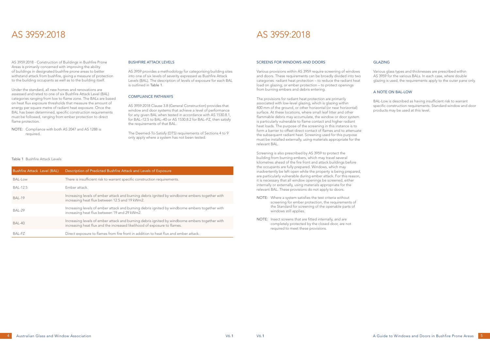AS 3959:2018 - Construction of Buildings in Bushfire Prone Areas is primarily concerned with improving the ability of buildings in designated bushfire prone areas to better withstand attack from bushfire, giving a measure of protection to the building occupants as well as to the building itself.

Under the standard, all new homes and renovations are assessed and rated to one of six Bushfire Attack Level (BAL) categories ranging from low to flame zone. The BALs are based on heat flux exposure thresholds that measure the amount of energy per square metre of radiant heat exposure. Once the BAL has been determined, specific construction requirements must be followed, ranging from ember protection to direct flame protection.

NOTE: Compliance with both AS 2047 and AS 1288 is required.

### BUSHFIRE ATTACK LEVELS

AS 3959 provides a methodology for categorising building sites into one of six levels of severity expressed as Bushfire Attack Levels (BAL). The description of levels of exposure for each BAL is outlined in Table 1.

### COMPLIANCE PATHWAYS

AS 3959:2018 Clause 3.8 (General Construction) provides that window and door systems that achieve a level of performance for any given BAL when tested in accordance with AS 1530.8.1, for BAL–12.5 to BAL–40 or AS 1530.8.2 for BAL–FZ, then satisfy the requirements of that BAL.

The Deemed-To-Satisfy (DTS) requirements of Sections 4 to 9 only apply where a system has not been tested.

### SCREENS FOR WINDOWS AND DOORS

Various provisions within AS 3959 require screening of windows and doors. These requirements can be broadly divided into two categories: radiant heat protection – to reduce the radiant heat load on glazing, or ember protection – to protect openings from burning embers and debris entering.

The provisions for radiant heat protection are primarily associated with low-level glazing, which is glazing within 400 mm of the ground, or other horizontal (or near horizontal) surface. At these locations, where small leaf litter and other flammable debris may accumulate, the window or door system is particularly vulnerable to flame contact and higher radiant heat loads. The purpose of the screening in this instance is to form a barrier to offset direct contact of flames and to attenuate the subsequent radiant heat. Screening used for this purpose must be installed externally, using materials appropriate for the relevant BAL.

Screening is also prescribed by AS 3959 to protect the building from burning embers, which may travel several kilometres ahead of the fire front and attack buildings before the occupants are fully prepared. Windows, which may inadvertently be left open while the property is being prepared, are particularly vulnerable during ember attack. For this reason, it is necessary that all window openings be screened, either internally or externally, using materials appropriate for the relevant BAL. These provisions do not apply to doors.

- NOTE: Where a system satisfies the test criteria without screening for ember protection, the requirements of the Standard for screening of the openable parts of windows still applies.
- NOTE: Insect screens that are fitted internally, and are completely protected by the closed door, are not required to meet these provisions.

### GLAZING

Various glass types and thicknesses are prescribed within AS 3959 for the various BALs. In each case, where double glazing is used, the requirements apply to the outer pane only.

### A NOTE ON BAL-LOW

BAL-Low is described as having insufficient risk to warrant specific construction requirements. Standard window and door products may be used at this level.

## AS 3959:2018 AS 3959:2018

### Table 1 Bushfire Attack Levels

| <b>Bushfire Attack Level (BAL)</b> | Description of Predicted Bushfire Attack and Levels of Exposure                                                                                                            |
|------------------------------------|----------------------------------------------------------------------------------------------------------------------------------------------------------------------------|
| BAL-Low                            | There is insufficient risk to warrant specific construction requirements.                                                                                                  |
| <b>BAL-12.5</b>                    | Ember attack.                                                                                                                                                              |
| <b>BAL-19</b>                      | Increasing levels of ember attack and burning debris ignited by windborne embers together with<br>increasing heat flux between 12.5 and 19 kWm2.                           |
| <b>BAL-29</b>                      | Increasing levels of ember attack and burning debris ignited by windborne embers together with<br>increasing heat flux between 19 and 29 kWm2.                             |
| BAL-40                             | Increasing levels of ember attack and burning debris ignited by windborne embers together with<br>increasing heat flux and the increased likelihood of exposure to flames. |
| BAL-FZ                             | Direct exposure to flames from fire front in addition to heat flux and ember attack.                                                                                       |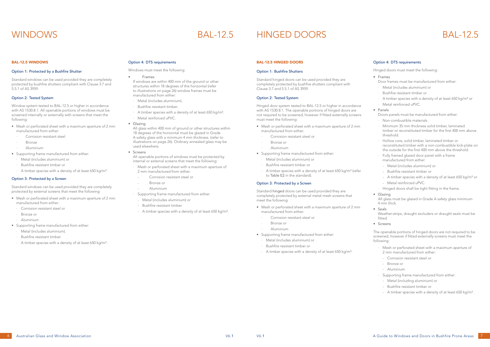### BAL-12.5 WINDOWS

### Option 1: Protected by a Bushfire Shutter

Standard windows can be used provided they are completely protected by bushfire shutters compliant with Clause 3.7 and 5.5.1 of AS 3959.

- Mesh or perforated sheet with a maximum aperture of 2 mm manufactured from either:
	- Corrosion resistant steel
- · Bronze
- · Aluminium
- Supporting frame manufactured from either:
- · Metal (includes aluminium) or
- · Bushfire resistant timber or
- A timber species with a density of at least 650 kg/m<sup>3</sup>.

### Option 2: Tested System

Window system tested to BAL-12.5 or higher in accordance with AS 1530.8.1. All openable portions of windows must be screened internally or externally with screens that meet the following:

### Option 3: Protected by a Screen

Standard windows can be used provided they are completely protected by external screens that meet the following:

- Mesh or perforated sheet with a maximum aperture of 2 mm manufactured from either:
- · Corrosion resistant steel or
- Bronze or
- · Aluminium
- Supporting frame manufactured from either:
- · Metal (includes aluminium).
- Bushfire resistant timber.
- · A timber species with a density of at least 650 kg/m³.

### Option 4: DTS requirements

Windows must meet the following:

• Frames

If windows are within 400 mm of the ground or other structures within 18 degrees of the horizontal (refer to illustrations on page 26) window frames must be manufactured from either:

- · Metal (includes aluminium).
- Bushfire resistant timber.
- · A timber species with a density of at least 650 kg/m³.
- · Metal reinforced uPVC.
- Glazing

All glass within 400 mm of ground or other structures within 18 degrees of the horizontal must be glazed in Grade A safety glass with a minimum 4 mm thickness. (refer to illustrations on page 26). Ordinary annealed glass may be used elsewhere.

• Screens

All openable portions of windows must be protected by internal or external screens that meet the following:

- Mesh or perforated sheet with a maximum aperture of 2 mm manufactured from either:
	- Corrosion resistant steel or
	- Bronze or
	- Aluminium
- · Supporting frame manufactured from either:
- Metal (includes aluminium) or
- Bushfire resistant timber
- A timber species with a density of at least 650 kg/m<sup>3</sup>.

### BAL-12.5 HINGED DOORS

### Option 1: Bushfire Shutters

Standard hinged doors can be used provided they are completely protected by bushfire shutters compliant with Clause 3.7 and 5.5.1 of AS 3959.

### Option 2: Tested System

Hinged door system tested to BAL-12.5 or higher in accordance with AS 1530.8.1. The openable portions of hinged doors are not required to be screened, however if fitted externally screens must meet the following:

- Mesh or perforated sheet with a maximum aperture of 2 mm manufactured from either:
	- Corrosion resistant steel or
	- · Bronze or
	- · Aluminium
- Supporting frame manufactured from either:
	- · Metal (includes aluminium) or
	- · Bushfire resistant timber or
	- A timber species with a density of at least 650 kg/m<sup>3</sup> (refer to Table E2 in the standard).

### Option 3: Protected by a Screen

Standard hinged doors can be used provided they are completely protected by external metal mesh screens that meet the following:

- Mesh or perforated sheet with a maximum aperture of 2 mm manufactured from either:
	- · Corrosion resistant steel or
	- · Bronze or
- · Aluminium
- Supporting frame manufactured from either:
- · Metal (includes aluminium) or
- · Bushfire resistant timber or
- · A timber species with a density of at least 650 kg/m³.

### Option 4: DTS requirements

Hinged doors must meet the following:

• Frames

Door frames must be manufactured from either:

- · Metal (includes aluminium) or
- · Bushfire resistant timber or
- A timber species with a density of at least 650 kg/m<sup>3</sup> or
- Metal reinforced uPVC.
- Panels

Doors panels must be manufactured from either:

- · Non-combustible materials.
- · Minimum 35 mm thickness solid timber, laminated timber or reconstituted timber for the first 400 mm above threshold.
- · Hollow core, solid timber, laminated timber or reconstituted timber with a non-combustible kick-plate on the outside for the first 400 mm above the threshold.
- Fully framed glazed door panel with a frame manufactured from either:
- Metal (includes aluminium) or
- Bushfire resistant timber or
- A timber species with a density of at least 650 kg/m<sup>3</sup> or
- Metal reinforced uPVC.
- · Hinged doors shall be tight fitting in the frame.
- Glazing

All glass must be glazed in Grade A safety glass minimum 4 mm thick.

• Seals

Weather-strips, draught excluders or draught seals must be fitted.

• Screens

The openable portions of hinged doors are not required to be screened, however if fitted externally screens must meet the following:

- Mesh or perforated sheet with a maximum aperture of 2 mm manufactured from either:
- Corrosion resistant steel or
- Bronze or
- Aluminium
- · Supporting frame manufactured from either:
- Metal (including aluminium) or
- Bushfire resistant timber or
- A timber species with a density of at least 650 kg/m<sup>3</sup>.

## WINDOWS BAL-12.5 HINGED DOORS BAL-12.5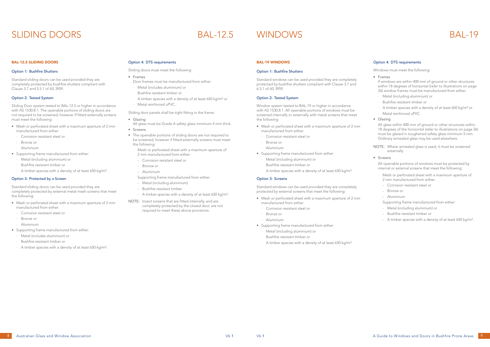## SLIDING DOORS BAL-12.5 WINDOWS BAL-19

### BAL-12.5 SLIDING DOORS

### Option 1: Bushfire Shutters

Standard sliding doors can be used provided they are completely protected by bushfire shutters compliant with Clause 3.7 and 5.5.1 of AS 3959.

### Option 2: Tested System

Sliding Door system tested to BAL-12.5 or higher in accordance with AS 1530.8.1. The openable portions of sliding doors are not required to be screened, however if fitted externally screens must meet the following:

- Mesh or perforated sheet with a maximum aperture of 2 mm manufactured from either:
	- · Corrosion resistant steel or
	- Bronze or
- · Aluminium
- Supporting frame manufactured from either:
- · Metal (including aluminium) or
- · Bushfire resistant timber or
- · A timber species with a density of at least 650 kg/m³.

### Option 3: Protected by a Screen

Standard sliding doors can be used provided they are completely protected by external metal mesh screens that meet the following:

- Mesh or perforated sheet with a maximum aperture of 2 mm manufactured from either:
	- · Corrosion resistant steel or
- Bronze or
- · Aluminium
- Supporting frame manufactured from either:
- · Metal (includes aluminium) or
- · Bushfire resistant timber or
- · A timber species with a density of at least 650 kg/m³.

### Option 4: DTS requirements

- Mesh or perforated sheet with a maximum aperture of 2 mm manufactured from either:
	- Corrosion resistant steel or
	- Bronze or
	- · Aluminium
- Supporting frame manufactured from either:
- Metal (including aluminium) or
- · Bushfire resistant timber or
- A timber species with a density of at least 650 kg/m<sup>3</sup>.

Sliding doors must meet the following:

- Frames
- Door frames must be manufactured from either:
- · Metal (includes aluminium) or
- · Bushfire resistant timber or
- · A timber species with a density of at least 650 kg/m³ or
- · Metal reinforced uPVC.

Sliding door panels shall be tight fitting in the frame.

- Glazing
- All glass must be Grade A safety glass minimum 4 mm thick.
- Screens
- The openable portions of sliding doors are not required to be screened, however if fitted externally screens must meet the following:
	- · Mesh or perforated sheet with a maximum aperture of
	- 2 mm manufactured from either:
	- Corrosion resistant steel or
	- Bronze or
	- Aluminium
	- · Supporting frame manufactured from either:
	- Metal (including aluminium)
	- Bushfire resistant timber
	- A timber species with a density of at least 650 kg/m<sup>3</sup>.
- NOTE: Insect screens that are fitted internally, and are completely protected by the closed door, are not required to meet these above provisions.

### BAL-19 WINDOWS

### Option 1: Bushfire Shutters

Standard windows can be used provided they are completely protected by bushfire shutters compliant with Clause 3.7 and 6.5.1 of AS 3959.

### Option 2: Tested System

Window system tested to BAL-19 or higher in accordance with AS 1530.8.1. All openable portions of windows must be screened internally or externally with metal screens that meet the following:

### Option 3: Screens

Standard windows can be used provided they are completely protected by external screens that meet the following:

- Mesh or perforated sheet with a maximum aperture of 2 mm manufactured from either:
	- · Corrosion resistant steel or
	- · Bronze or
	- · Aluminium
- Supporting frame manufactured from either:
- · Metal (including aluminium) or
- · Bushfire resistant timber or
- · A timber species with a density of at least 650 kg/m³.

### Option 4: DTS requirements

Windows must meet the following:

• Frames

If windows are within 400 mm of ground or other structures within 18 degrees of horizontal (refer to illustrations on page 26) window frames must be manufactured from either:

- · Metal (including aluminium) or
- · Bushfire resistant timber or
- A timber species with a density of at least 650 kg/m<sup>3</sup> or
- Metal reinforced uPVC.
- Glazing

All glass within 400 mm of ground or other structures within 18 degrees of the horizontal (refer to illustrations on page 26) must be glazed in toughened safety glass minimum 5 mm. Ordinary annealed glass may be used elsewhere.

NOTE: Where annealed glass is used, it must be screened externally.

• Screens

All openable portions of windows must be protected by internal or external screens that meet the following:

- Mesh or perforated sheet with a maximum aperture of 2 mm manufactured from either:
- Corrosion resistant steel or
- Bronze or
- Aluminium
- · Supporting frame manufactured from either:
- Metal (including aluminium) or
- Bushfire resistant timber or
- A timber species with a density of at least 650 kg/m<sup>3</sup>.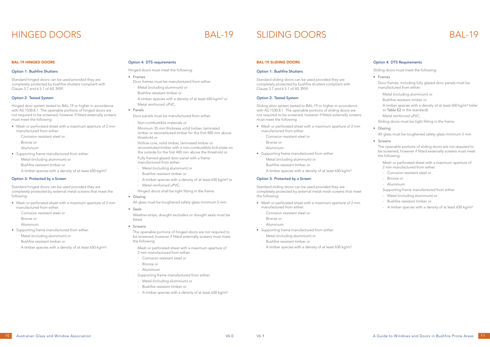### BAL-19 HINGED DOORS

### Option 1: Bushfire Shutters

Standard hinged doors can be used provided they are completely protected by bushfire shutters compliant with Clause 3.7 and 6.5.1 of AS 3959.

### Option 2: Tested System

Hinged door system tested to BAL-19 or higher in accordance with AS 1530.8.1. The openable portions of hinged doors are not required to be screened, however if fitted externally screens must meet the following:

- Mesh or perforated sheet with a maximum aperture of 2 mm manufactured from either:
	- · Corrosion resistant steel or
	- Bronze or
- · Aluminium
- Supporting frame manufactured from either:
- · Metal (including aluminium) or
- · Bushfire resistant timber or
- · A timber species with a density of at least 650 kg/m³.

### Option 3: Protected by a Screen

Standard hinged doors can be used provided they are completely protected by external metal screens that meet the following:

- Mesh or perforated sheet with a maximum aperture of 2 mm manufactured from either:
	- · Corrosion resistant steel or
	- · Bronze or
	- · Aluminium
- Supporting frame manufactured from either:
- · Metal (including aluminium) or
- · Bushfire resistant timber or
- · A timber species with a density of at least 650 kg/m³.
- · Mesh or perforated sheet with a maximum aperture of 2 mm manufactured from either:
- Corrosion resistant steel or
- Bronze or
- Aluminium
- · Supporting frame manufactured from either:
- Metal (including aluminium) or
- Bushfire resistant timber or
- A timber species with a density of at least 650 kg/m<sup>3</sup>.

### Option 4: DTS requirements

Hinged doors must meet the following:

- Mesh or perforated sheet with a maximum aperture of 2 mm manufactured from either:
	- Corrosion resistant steel or
	- · Bronze or
	- · Aluminium
- Supporting frame manufactured from either:
- · Metal (including aluminium) or
- · Bushfire resistant timber or
- A timber species with a density of at least 650 kg/m<sup>3</sup>.
- Frames
- Door frames must be manufactured from either:
- · Metal (including aluminium) or
- · Bushfire resistant timber or
- · A timber species with a density of at least 650 kg/m³ or
- · Metal reinforced uPVC.
- Panels
- Door panels must be manufactured from either:
- · Non-combustible materials or
- Minimum 35 mm thickness solid timber, laminated timber or reconstituted timber for the first 400 mm above threshold or
- · Hollow core, solid timber, laminated timber or reconstituted timber with a non-combustible kick-plate on the outside for the first 400 mm above the threshold or
- Fully framed glazed door panel with a frame manufactured from either:
- Metal (including aluminium) or
- Bushfire resistant timber or
- A timber species with a density of at least 650 kg/m<sup>3</sup> or
- Metal reinforced uPVC.
- · Hinged doors shall be tight fitting in the frame.
- Glazing
- All glass must be toughened safety glass minimum 5 mm.
- Seals
- · Metal (including aluminium) or
- · Bushfire resistant timber or
- A timber species with a density of at least 650 kg/m<sup>3</sup> (refer to Table E2 in the standard).
- Metal reinforced uPVC.

Weather-strips, draught excluders or draught seals must be fitted.

• Screens

The openable portions of hinged doors are not required to be screened, however if fitted externally screens must meet the following:

### BAL-19 SLIDING DOORS

### Option 1: Bushfire Shutters

Standard sliding doors can be used provided they are completely protected by bushfire shutters compliant with Clause 3.7 and 6.5.1 of AS 3959.

### Option 2: Tested System

Sliding door system tested to BAL-19 or higher in accordance with AS 1530.8.1. The openable portions of sliding doors are not required to be screened, however if fitted externally screens must meet the following:

### Option 3: Protected by a Screen

Standard sliding doors can be used provided they are completely protected by external metal mesh screens that meet the following:

- Mesh or perforated sheet with a maximum aperture of 2 mm manufactured from either:
- · Corrosion resistant steel or
- · Bronze or
- · Aluminium
- Supporting frame manufactured from either:
- · Metal (including aluminium) or
- · Bushfire resistant timber or
- · A timber species with a density of at least 650 kg/m³.

### Option 4: DTS Requirements

Sliding doors must meet the following:

• Frames

Door frames, including fully glazed door panels must be manufactured from either:

Sliding doors must be tight fitting in the frame.

• Glazing

All glass must be toughened safety glass minimum 5 mm.

• Screens

The openable portions of sliding doors are not required to be screened, however if fitted externally screens must meet the following:

- Mesh or perforated sheet with a maximum aperture of 2 mm manufactured from either:
- Corrosion resistant steel or
- Bronze or
- Aluminium
- · Supporting frame manufactured from either:
- Metal (including aluminium) or
- Bushfire resistant timber or
- A timber species with a density of at least 650 kg/m<sup>3</sup>.

## HINGED DOORS BAL-19 SLIDING DOORS BAL-19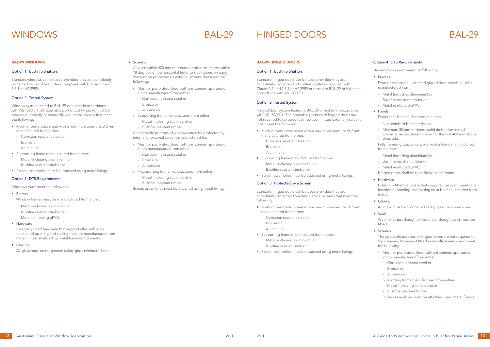### BAL-29 WINDOWS

### Option 1: Bushfire Shutters

Standard windows can be used provided they are completely protected by bushfire shutters compliant with Clause 3.7 and 7.5.1 of AS 3959.

### Option 2: Tested System

Window system tested to BAL-29 or higher in accordance with AS 1530.8.1. All openable portions of windows must be screened internally or externally with metal screens that meet the following:

- Mesh or perforated sheet with a maximum aperture of 2 mm manufactured from either:
	- · Corrosion resistant steel or
- · Bronze or
- · Aluminium
- Supporting frame manufactured from either:
	- Metal (including aluminium) or
	- · Bushfire resistant timber or
- Screen assemblies must be attached using metal fixings.

### Option 3: DTS Requirements

- Mesh or perforated sheet with a maximum aperture of 2 mm manufactured from either:
- Corrosion resistant steel or
- Bronze or
- Aluminium
- · Supporting frame manufactured from either:
- Metal (including aluminium) or
- Bushfire resistant timber.

Windows must meet the following:

- Frames
- Window frames must be manufactured from either:
- · Metal (including aluminium) or
- Bushfire resistant timber or
- Metal reinforcing uPVC.
- Hardware
- Mesh or perforated sheet with a maximum aperture of 2 mm manufactured from either:
- Corrosion resistant steel or
- Bronze or
- Aluminium
- A supporting frame manufactured from either:
- Metal (including aluminium) or
- Bushfire resistant timber.

Externally fitted hardware that supports the sash in its function of opening and closing must be manufactured from metal, unless shielded by metal frame components.

• Glazing

All glass must be toughened safety glass minimum 5 mm.

### • Screens

All glass within 400 mm of ground or other structures within 18 degrees of the horizontal (refer to illustrations on page 26) must be protected by external screens that meet the following:

All openable portions of windows must be protected by internal or external screens manufactured from:

- · Metal (including aluminium) or
- Bushfire resistant timber or
- Metal reinforced uPVC.

Screen assemblies must be attached using metal fixings.

### BAL-29 HINGED DOORS

### Option 1: Bushfire Shutters

- · Mesh or perforated sheet with a maximum aperture of 2 mm manufactured from either:
- Corrosion resistant steel or
- Bronze or
- Aluminium.
- Supporting frame manufactured from either:
- Metal (including aluminium) or
- Bushfire resistant timber
- Screen assemblies must be attached using metal fixings.

Standard hinged doors can be used provided they are completely protected by bushfire shutters compliant with Clause 3.7 and 7.5.1 of AS 3959 or tested to BAL-29 or higher in accordance with AS 1530.8.1.

### Option 2: Tested System

Hinged door system tested to BAL-29 or higher in accordance with AS 1530.8.1. The openable portions of hinged doors are not required to be screened, however if fitted externally screens must meet the following:

- Mesh or perforated sheet with a maximum aperture of 2 mm manufactured from either:
- Corrosion resistant steel or
- Bronze or
- · Aluminium
- Supporting frame manufactured from either:
- · Metal (including aluminium) or
- · Bushfire resistant timber or
- Screen assemblies must be attached using metal fixings.

### Option 3: Protected by a Screen

Standard hinged doors can be used provided they are completely protected by external metal screens that meet the following:

- Mesh or perforated sheet with a maximum aperture of 2 mm manufactured from either:
- Corrosion resistant steel or
- Bronze or
- · Aluminium
- Supporting frame manufactured from either:
	- · Metal (including aluminium) or
	- · Bushfire resistant timber.
- Screen assemblies must be attached using metal fixings.

### Option 4: DTS Requirements

Hinged doors must meet the following:

• Frames

Door frames and fully framed glazed door panels must be manufactured from:

- · Metal (including aluminium) or
- · Bushfire resistant timber or
- Metal reinforced uPVC.
- Panels

Doors shall be manufactured of either:

- · Non-combustible materials or
- Minimum 35 mm thickness solid timber, laminated timber or reconstituted timber for the first 400 mm above threshold.

Fully framed glazed door panel with a frame manufactured from either:

Hinged doors shall be tight fitting in the frame.

• Hardware

Externally fitted hardware that supports the door panel in its function of opening and closing must be manufactured from metal.

• Glazing

All glass must be toughened safety glass minimum 6 mm.

• Seals

Weather strips, draught excluders or draught seals must be fitted.

• Screens

The openable portions of hinged doors are not required to be screened, however if fitted externally screens must meet the following:

## WINDOWS BAL-29 HINGED DOORS BAL-29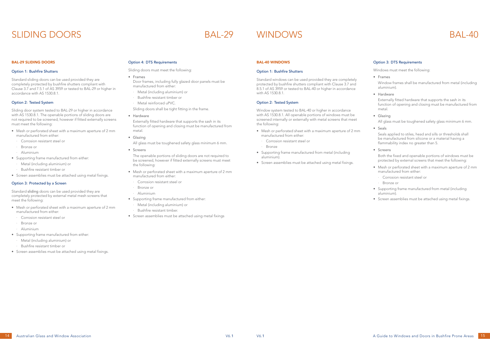### BAL-29 SLIDING DOORS

### Option 1: Bushfire Shutters

Standard sliding doors can be used provided they are completely protected by bushfire shutters compliant with Clause 3.7 and 7.5.1 of AS 3959 or tested to BAL-29 or higher in accordance with AS 1530.8.1.

### Option 2: Tested System

Sliding door system tested to BAL-29 or higher in accordance with AS 1530.8.1. The openable portions of sliding doors are not required to be screened, however if fitted externally screens must meet the following:

- Mesh or perforated sheet with a maximum aperture of 2 mm manufactured from either:
	- Corrosion resistant steel or
	- Bronze or
- · Aluminium
- Supporting frame manufactured from either:
	- · Metal (including aluminium) or
	- · Bushfire resistant timber or
- Screen assemblies must be attached using metal fixings.

### Option 3: Protected by a Screen

Standard sliding doors can be used provided they are completely protected by external metal mesh screens that meet the following:

- Mesh or perforated sheet with a maximum aperture of 2 mm manufactured from either:
- Corrosion resistant steel or
- · Bronze or
- · Aluminium
- Supporting frame manufactured from either:
- · Metal (including aluminium) or
- · Bushfire resistant timber or
- Screen assemblies must be attached using metal fixings.

### Option 4: DTS Requirements

Sliding doors must meet the following:

- Frames
- Door frames, including fully glazed door panels must be manufactured from either:
- · Metal (including aluminium) or
- · Bushfire resistant timber or
- · Metal reinforced uPVC.
- Sliding doors shall be tight fitting in the frame.
- Hardware

Externally fitted hardware that supports the sash in its function of opening and closing must be manufactured from metal.

• Glazing

All glass must be toughened safety glass minimum 6 mm.

• Screens

The openable portions of sliding doors are not required to be screened, however if fitted externally screens must meet the following:

- Mesh or perforated sheet with a maximum aperture of 2 mm manufactured from either:
	- · Corrosion resistant steel or
- · Bronze or
- · Aluminium
- Supporting frame manufactured from either:
- · Metal (including aluminium) or
- · Bushfire resistant timber.
- Screen assemblies must be attached using metal fixings

### BAL-40 WINDOWS

### Option 1: Bushfire Shutters

Standard windows can be used provided they are completely protected by bushfire shutters compliant with Clause 3.7 and 8.5.1 of AS 3959 or tested to BAL-40 or higher in accordance with AS 1530.8.1.

### Option 2: Tested System

Window system tested to BAL-40 or higher in accordance with AS 1530.8.1. All openable portions of windows must be screened internally or externally with metal screens that meet the following:

- Mesh or perforated sheet with a maximum aperture of 2 mm manufactured from either:
- Corrosion resistant steel or
- · Bronze
- Supporting frame manufactured from metal (including aluminium).
- Screen assemblies must be attached using metal fixings.

### Option 3: DTS Requirements

Windows must meet the following:

• Frames

Window frames shall be manufactured from metal (including aluminium).

• Hardware

Externally fitted hardware that supports the sash in its function of opening and closing must be manufactured from metal.

• Glazing

All glass must be toughened safety glass minimum 6 mm.

• Seals

Seals applied to stiles, head and sills or thresholds shall be manufactured from silicone or a material having a flammability index no greater than 5.

• Screens

Both the fixed and openable portions of windows must be protected by external screens that meet the following:

- Mesh or perforated sheet with a maximum aperture of 2 mm manufactured from either:
	- · Corrosion resistant steel or
	- · Bronze or
- Supporting frame manufactured from metal (including aluminium).
- Screen assemblies must be attached using metal fixings.

## SLIDING DOORS BAL-29 WINDOWS BAL-40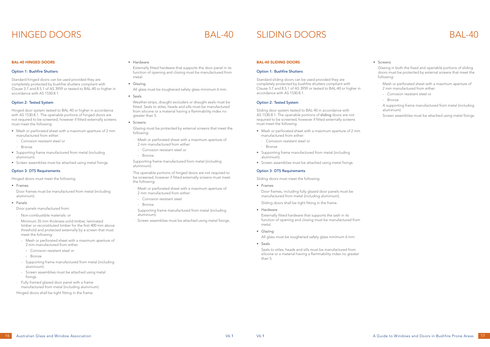### BAL-40 HINGED DOORS

### Option 1: Bushfire Shutters

Standard hinged doors can be used provided they are completely protected by bushfire shutters compliant with Clause 3.7 and 8.5.1 of AS 3959 or tested to BAL-40 or higher in accordance with AS 1530.8.1.

### Option 2: Tested System

Hinged door system tested to BAL-40 or higher in accordance with AS 1530.8.1. The openable portions of hinged doors are not required to be screened, however if fitted externally screens must meet the following:

- Mesh or perforated sheet with a maximum aperture of 2 mm manufactured from either:
	- Corrosion resistant steel or
	- **Bronze**
- Supporting frame manufactured from metal (including aluminium).
- Screen assemblies must be attached using metal fixings.

### Option 3: DTS Requirements

Hinged doors must meet the following:

• Frames

Door frames must be manufactured from metal (including aluminium)

• Panels

Door panels manufactured from:

- Mesh or perforated sheet with a maximum aperture of 2 mm manufactured from either:
- Corrosion resistant steel or
- Bronze.

- · Non-combustible materials: or
- · Minimum 35 mm thickness solid timber, laminated timber or reconstituted timber for the first 400 mm above threshold and protected externally by a screen that must meet the following:
- Mesh or perforated sheet with a maximum aperture of 2 mm manufactured from either:
- › Corrosion resistant steel or
- › Bronze
- Supporting frame manufactured from metal (including aluminium).
- Screen assemblies must be attached using metal fixings.
- Fully framed glazed door panel with a frame manufactured from metal (including aluminium)

Hinged doors shall be tight fitting in the frame.

• Hardware

Externally fitted hardware that supports the door panel in its function of opening and closing must be manufactured from metal.

• Glazing

All glass must be toughened safety glass minimum 6 mm.

• Seals

Weather-strips, draught excluders or draught seals must be fitted. Seals to stiles, heads and sills must be manufactured from silicone or a material having a flammability index no greater than 5.

• Screens

Glazing must be protected by external screens that meet the following:

Supporting frame manufactured from metal (including aluminium).

The openable portions of hinged doors are not required to be screened, however if fitted externally screens must meet the following:

- · Mesh or perforated sheet with a maximum aperture of 2 mm manufactured from either:
- Corrosion resistant steel
- Bronze
- · Supporting frame manufactured from metal (including aluminium).
- · Screen assemblies must be attached using metal fixings.

### BAL-40 SLIDING DOORS

### Option 1: Bushfire Shutters

Standard sliding doors can be used provided they are completely protected by bushfire shutters compliant with Clause 3.7 and 8.5.1 of AS 3959 or tested to BAL-40 or higher in accordance with AS 1530.8.1.

### Option 2: Tested System

Sliding door system tested to BAL-40 in accordance with AS 1530.8.1. The openable portions of sliding doors are not required to be screened, however if fitted externally screens must meet the following:

- Mesh or perforated sheet with a maximum aperture of 2 mm manufactured from either:
	- Corrosion resistant steel or
	- **Bronze**
- Supporting frame manufactured from metal (including aluminium).
- Screen assemblies must be attached using metal fixings.

### Option 3: DTS Requirements

Sliding doors must meet the following:

• Frames

Door frames, including fully glazed door panels must be manufactured from metal (including aluminium).

Sliding doors shall be tight fitting in the frame.

• Hardware

Externally fitted hardware that supports the sash in its function of opening and closing must be manufactured from metal.

- Glazing All glass must be toughened safety glass minimum 6 mm.
- Seals

Seals to stiles, heads and sills must be manufactured from silicone or a material having a flammability index no greater than 5.

### • Screens

Glazing in both the fixed and openable portions of sliding doors must be protected by external screens that meet the following:

- Mesh or perforated sheet with a maximum aperture of 2 mm manufactured from either:
- Corrosion resistant steel or
- Bronze
- A supporting frame manufactured from metal (including aluminium)
- Screen assemblies must be attached using metal fixings.

## HINGED DOORS BAL-40 SLIDING DOORS BAL-40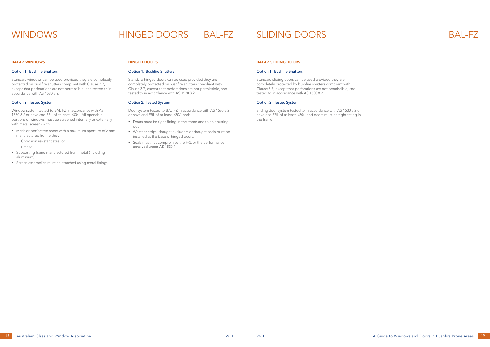### BAL-FZ WINDOWS

### Option 1: Bushfire Shutters

Standard windows can be used provided they are completely protected by bushfire shutters compliant with Clause 3.7, except that perforations are not permissible, and tested to in accordance with AS 1530.8.2.

### Option 2: Tested System

Window system tested to BAL-FZ in accordance with AS 1530.8.2 or have and FRL of at least -/30/-. All openable portions of windows must be screened internally or externally with metal screens with:

- Mesh or perforated sheet with a maximum aperture of 2 mm manufactured from either:
	- Corrosion resistant steel or
- · Bronze
- Supporting frame manufactured from metal (including aluminium).
- Screen assemblies must be attached using metal fixings.

### HINGED DOORS

### Option 1: Bushfire Shutters

Standard hinged doors can be used provided they are completely protected by bushfire shutters compliant with Clause 3.7, except that perforations are not permissible, and tested to in accordance with AS 1530.8.2.

### Option 2: Tested System

Door system tested to BAL-FZ in accordance with AS 1530.8.2 or have and FRL of at least -/30/- and:

- Doors must be tight fitting in the frame and to an abutting door.
- Weather strips, draught excluders or draught seals must be installed at the base of hinged doors.
- Seals must not compromise the FRL or the performance acheived under AS 1530.4.

### BAL-FZ SLIDING DOORS

### Option 1: Bushfire Shutters

Standard sliding doors can be used provided they are completely protected by bushfire shutters compliant with Clause 3.7, except that perforations are not permissible, and tested to in accordance with AS 1530.8.2.

### Option 2: Tested System

Sliding door system tested to in accordance with AS 1530.8.2 or have and FRL of at least -/30/- and doors must be tight fitting in the frame.

## WINDOWS HINGED DOORS BAL-FZ SLIDING DOORS BAL-FZ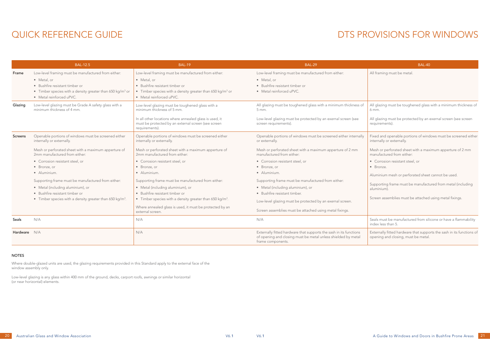## QUICK REFERENCE GUIDE

All glazing must be toughened glass with a minimum thickness of 6 mm.

All glazing must be protected by an exernal screen (see screen requirements).

Seals must be manufactured from silicone or have a flammability index less than 5.

|              | <b>BAL-12.5</b>                                                                                                                                                                                                                                                                                                                                                                                                                                    | <b>BAL-19</b>                                                                                                                                                                                                                                                                                                                                                                                                                                                                                                                     | <b>BAL-29</b>                                                                                                                                                                                                                                                                                                                                                                                                                                                                                     | BAL-40                                                                                                                                                                                                                                                                                                               |
|--------------|----------------------------------------------------------------------------------------------------------------------------------------------------------------------------------------------------------------------------------------------------------------------------------------------------------------------------------------------------------------------------------------------------------------------------------------------------|-----------------------------------------------------------------------------------------------------------------------------------------------------------------------------------------------------------------------------------------------------------------------------------------------------------------------------------------------------------------------------------------------------------------------------------------------------------------------------------------------------------------------------------|---------------------------------------------------------------------------------------------------------------------------------------------------------------------------------------------------------------------------------------------------------------------------------------------------------------------------------------------------------------------------------------------------------------------------------------------------------------------------------------------------|----------------------------------------------------------------------------------------------------------------------------------------------------------------------------------------------------------------------------------------------------------------------------------------------------------------------|
| Frame        | Low-level framing must be manufactured from either:<br>· Metal, or<br>• Bushfire resistant timber or<br>• Timber species with a density greater than 650 kg/m <sup>3</sup> or<br>• Metal reinforced uPVC.                                                                                                                                                                                                                                          | Low-level framing must be manufactured from either:<br>· Metal, or<br>• Bushfire resistant timber or<br>• Timber species with a density greater than 650 kg/m <sup>3</sup> or<br>• Metal reinforced uPVC.                                                                                                                                                                                                                                                                                                                         | Low-level framing must be manufactured from either:<br>• Metal, or<br>• Bushfire resistant timber or<br>• Metal reinforced uPVC.                                                                                                                                                                                                                                                                                                                                                                  | All framing must be metal.                                                                                                                                                                                                                                                                                           |
| Glazing      | Low-level glazing must be Grade A safety glass with a<br>minimum thickness of 4 mm.                                                                                                                                                                                                                                                                                                                                                                | Low-level glazing must be toughened glass with a<br>minimum thickness of 5 mm.<br>In all other locations where annealed glass is used, it<br>must be protected by an external screen (see screen<br>requirements).                                                                                                                                                                                                                                                                                                                | All glazing must be toughened glass with a minimum thickness of<br>$5 \, \text{mm}$ .<br>Low-level glazing must be protected by an exernal screen (see<br>screen requirements).                                                                                                                                                                                                                                                                                                                   | All glazing must be toughened glass<br>6 mm.<br>All glazing must be protected by an<br>requirements).                                                                                                                                                                                                                |
| Screens      | Openable portions of windows must be screened either<br>internally or externally.<br>Mesh or perforated sheet with a maximum apperture of<br>2mm manufactured from either:<br>• Corrosion resistant steel, or<br>• Bronze, or<br>• Aluminium.<br>Supporting frame must be manufactured from either:<br>• Metal (including aluminium), or<br>• Bushfire resistant timber or<br>• Timber species with a density greater than 650 kg/m <sup>3</sup> . | Openable portions of windows must be screened either<br>internally or externally.<br>Mesh or perforated sheet with a maximum apperture of<br>2mm manufactured from either:<br>• Corrosion resistant steel, or<br>• Bronze, or<br>• Aluminium.<br>Supporting frame must be manufactured from either:<br>• Metal (including aluminium), or<br>• Bushfire resistant timber or<br>• Timber species with a density greater than $650 \text{ kg/m}^3$ .<br>Where annealed glass is used, it must be protected by an<br>external screen. | Openable portions of windows must be screened either internally<br>or externally.<br>Mesh or perforated sheet with a maximum apperture of 2 mm<br>manufactured from either:<br>• Corrosion resistant steel, or<br>• Bronze, or<br>• Aluminium.<br>Supporting frame must be manufactured from either:<br>• Metal (including aluminium), or<br>• Bushfire resistant timber.<br>Low-level glazing must be protected by an exernal screen.<br>Screen assemblies must be attached using metal fixings. | Fixed and openable portions of wind<br>internally or externally.<br>Mesh or perforated sheet with a max<br>manufactured from either:<br>• Corrosion resistant steel, or<br>· Bronze.<br>Aluminium mesh or perforated sheet<br>Supporting frame must be manufact<br>aluminium).<br>Screen assemblies must be attached |
| Seals        | N/A                                                                                                                                                                                                                                                                                                                                                                                                                                                | N/A                                                                                                                                                                                                                                                                                                                                                                                                                                                                                                                               | N/A                                                                                                                                                                                                                                                                                                                                                                                                                                                                                               | Seals must be manufactured from sil<br>index less than 5.                                                                                                                                                                                                                                                            |
| Hardware N/A |                                                                                                                                                                                                                                                                                                                                                                                                                                                    | N/A                                                                                                                                                                                                                                                                                                                                                                                                                                                                                                                               | Externally fitted hardware that supports the sash in its functions<br>of opening and closing must be metal unless shielded by metal<br>frame components.                                                                                                                                                                                                                                                                                                                                          | Externally fitted hardware that suppo<br>opening and closing, must be metal                                                                                                                                                                                                                                          |

Fixed and openable portions of windows must be screened either internally or externally.

Mesh or perforated sheet with a maximum apperture of 2 mm manufactured from either:

- Corrosion resistant steel, or
- Bronze.

Aluminium mesh or perforated sheet cannot be used.

Supporting frame must be manufactured from metal (including aluminium).

Screen assemblies must be attached using metal fixings.

Externally fitted hardware that supports the sash in its functions of opening and closing, must be metal.

### NOTES

Where double-glazed units are used, the glazing requirements provided in this Standard apply to the external face of the window assembly only.

Low-level glazing is any glass within 400 mm of the ground, decks, carport roofs, awnings or similar horizontal (or near horizontal) elements.

## DTS PROVISIONS FOR WINDOWS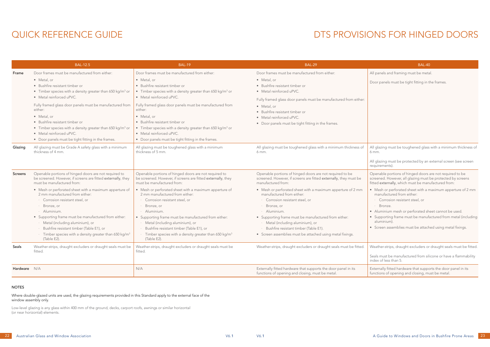## QUICK REFERENCE GUIDE

Door panels must be tight fitting in the frames.

All glazing must be toughened glass with a minimum thickness of 6 mm.

All glazing must be protected by an external screen (see screen requirements).

|              | <b>BAL-12.5</b>                                                                                                                                                                                                                                                                                                                                                                                                                       | <b>BAL-19</b>                                                                                                                                                                                                                                                                                                                                                                                                                         | <b>BAL-29</b>                                                                                                                                                                                                                                                                    | BAL-40                                                                                                                                              |
|--------------|---------------------------------------------------------------------------------------------------------------------------------------------------------------------------------------------------------------------------------------------------------------------------------------------------------------------------------------------------------------------------------------------------------------------------------------|---------------------------------------------------------------------------------------------------------------------------------------------------------------------------------------------------------------------------------------------------------------------------------------------------------------------------------------------------------------------------------------------------------------------------------------|----------------------------------------------------------------------------------------------------------------------------------------------------------------------------------------------------------------------------------------------------------------------------------|-----------------------------------------------------------------------------------------------------------------------------------------------------|
| Frame        | Door frames must be manufactured from either:                                                                                                                                                                                                                                                                                                                                                                                         | Door frames must be manufactured from either:                                                                                                                                                                                                                                                                                                                                                                                         | Door frames must be manufactured from either:                                                                                                                                                                                                                                    | All panels and framing must be meta                                                                                                                 |
|              | • Metal, or<br>• Bushfire resistant timber or<br>• Timber species with a density greater than 650 kg/m <sup>3</sup> or<br>• Metal reinforced uPVC.<br>Fully framed glass door panels must be manufactured from<br>either:<br>• Metal, or<br>• Bushfire resistant timber or<br>• Timber species with a density greater than 650 kg/m <sup>3</sup> or<br>• Metal reinforced uPVC.<br>• Door panels must be tight fitting in the frames. | • Metal, or<br>• Bushfire resistant timber or<br>• Timber species with a density greater than 650 kg/m <sup>3</sup> or<br>• Metal reinforced uPVC.<br>Fully framed glass door panels must be manufactured from<br>either:<br>• Metal, or<br>• Bushfire resistant timber or<br>• Timber species with a density greater than 650 kg/m <sup>3</sup> or<br>• Metal reinforced uPVC.<br>• Door panels must be tight fitting in the frames. | • Metal, or<br>• Bushfire resistant timber or<br>· Metal reinforced uPVC.<br>Fully framed glass door panels must be manufactured from either:<br>• Metal, or<br>· Bushfire resistant timber or<br>• Metal reinforced uPVC.<br>• Door panels must be tight fitting in the frames. | Door panels must be tight fitting in t                                                                                                              |
| Glazing      | All glazing must be Grade A safety glass with a minimum<br>thickness of 4 mm.                                                                                                                                                                                                                                                                                                                                                         | All glazing must be toughened glass with a minimum<br>thickness of 5 mm.                                                                                                                                                                                                                                                                                                                                                              | All glazing must be toughened glass with a minimum thickness of<br>6 mm.                                                                                                                                                                                                         | All glazing must be toughened glass<br>$6$ mm.<br>All glazing must be protected by an<br>requirements).                                             |
| Screens      | Openable portions of hinged doors are not required to<br>be screened. However, if screens are fitted externally, they<br>must be manufactured from:                                                                                                                                                                                                                                                                                   | Openable portions of hinged doors are not required to<br>be screened. However, if screens are fitted externally, they<br>must be manufactured from:                                                                                                                                                                                                                                                                                   | Openable portions of hinged doors are not required to be<br>screened. However, if screens are fitted externally, they must be<br>manufactured from:                                                                                                                              | Openable portions of hinged doors<br>screened. However, all glazing must<br>fitted externally, which must be man                                    |
|              | • Mesh or perforated sheet with a maximum apperture of<br>2 mm manufactured from either:<br>· Corrosion resistant steel, or<br>· Bronze, or<br>· Aluminium.                                                                                                                                                                                                                                                                           | • Mesh or perforated sheet with a maximum apperture of<br>2 mm manufactured from either:<br>· Corrosion resistant steel, or<br>Bronze, or<br>· Aluminium.                                                                                                                                                                                                                                                                             | • Mesh or perforated sheet with a maximum apperture of 2 mm<br>manufactured from either:<br>· Corrosion resistant steel, or<br>$\cdot$ Bronze, or<br>· Aluminium.                                                                                                                | • Mesh or perforated sheet with a n<br>manufactured from either:<br>· Corrosion resistant steel, or<br>Bronze.<br>• Aluminium mesh or perforated sh |
|              | • Supporting frame must be manufactured from either:<br>· Metal (including aluminium), or<br>· Bushfire resistant timber (Table E1), or<br>$\cdot$ Timber species with a density greater than 650 kg/m <sup>3</sup><br>(Table E2).                                                                                                                                                                                                    | • Supporting frame must be manufactured from either:<br>· Metal (including aluminium), or<br>· Bushfire resistant timber (Table E1), or<br>$\cdot$ Timber species with a density greater than 650 kg/m <sup>3</sup><br>(Table E2).                                                                                                                                                                                                    | • Supporting frame must be manufactured from either:<br>· Metal (including aluminium), or<br>· Bushfire resistant timber (Table E1).<br>• Screen assemblies must be attached using metal fixings.                                                                                | • Supporting frame must be manufa<br>aluminium).<br>• Screen assemblies must be attach                                                              |
| Seals        | Weather-strips, draught excluders or draught seals must be<br>fitted.                                                                                                                                                                                                                                                                                                                                                                 | Weather-strips, draught excluders or draught seals must be<br>fitted.                                                                                                                                                                                                                                                                                                                                                                 | Weather-strips, draught excluders or draught seals must be fitted.                                                                                                                                                                                                               | Weather-strips, draught excluders or<br>Seals must be manufactured from sil<br>index of less than 5.                                                |
| Hardware N/A |                                                                                                                                                                                                                                                                                                                                                                                                                                       | N/A                                                                                                                                                                                                                                                                                                                                                                                                                                   | Externally fitted hardware that supports the door panel in its<br>functions of opening and closing, must be metal.                                                                                                                                                               | Externally fitted hardware that suppo<br>functions of opening and closing, mu                                                                       |

Openable portions of hinged doors are not required to be screened. However, all glazing must be protected by screens fitted externally, which must be manufactured from:

- Mesh or perforated sheet with a maximum apperture of 2 mm manufactured from either:
- · Corrosion resistant steel, or
- Bronze.
- Aluminium mesh or perforated sheet cannot be used.
- Supporting frame must be manufactured from metal (including aluminium).
- Screen assemblies must be attached using metal fixings.

Weather-strips, draught excluders or draught seals must be fitted.

Seals must be manufactured from silicone or have a flammability index of less than 5.

Externally fitted hardware that supports the door panel in its functions of opening and closing, must be metal.

### NOTES

Where double-glazed units are used, the glazing requirements provided in this Standard apply to the external face of the window assembly only.

Low-level glazing is any glass within 400 mm of the ground, decks, carport roofs, awnings or similar horizontal (or near horizontal) elements.

## DTS PROVISIONS FOR HINGED DOORS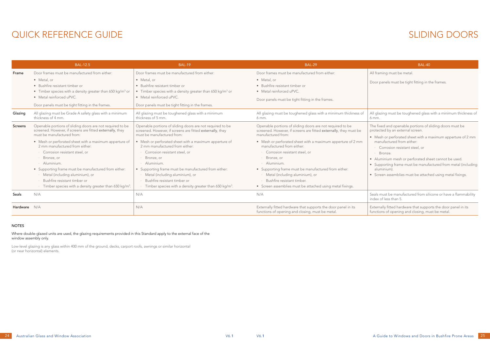Door panels must be tight fitting in the frames.

All glazing must be toughened glass with a minimum thickness of 6 mm.

Seals must be manufactured from silicone or have a flammability index of less than 5.

## QUICK REFERENCE GUIDE SERVICE SUNT SERVICE SUNT SERVICE SERVICE SERVICE SERVICE SERVICE SERVICE SERVICE SERVICE

|              | <b>BAL-12.5</b>                                                                                                                                                                                                                                                                                                                                                                                                                                                                                                              | <b>BAL-19</b>                                                                                                                                                                                                                                                                                                                                                                                                                                                                                                            | <b>BAL-29</b>                                                                                                                                                                                                                                                                                                                                                                                                                                                                                                   | BAL-40                                                                                                                                                                                                                                                                                                                  |
|--------------|------------------------------------------------------------------------------------------------------------------------------------------------------------------------------------------------------------------------------------------------------------------------------------------------------------------------------------------------------------------------------------------------------------------------------------------------------------------------------------------------------------------------------|--------------------------------------------------------------------------------------------------------------------------------------------------------------------------------------------------------------------------------------------------------------------------------------------------------------------------------------------------------------------------------------------------------------------------------------------------------------------------------------------------------------------------|-----------------------------------------------------------------------------------------------------------------------------------------------------------------------------------------------------------------------------------------------------------------------------------------------------------------------------------------------------------------------------------------------------------------------------------------------------------------------------------------------------------------|-------------------------------------------------------------------------------------------------------------------------------------------------------------------------------------------------------------------------------------------------------------------------------------------------------------------------|
| Frame        | Door frames must be manufactured from either:                                                                                                                                                                                                                                                                                                                                                                                                                                                                                | Door frames must be manufactured from either:                                                                                                                                                                                                                                                                                                                                                                                                                                                                            | Door frames must be manufactured from either:                                                                                                                                                                                                                                                                                                                                                                                                                                                                   | All framing must be metal.                                                                                                                                                                                                                                                                                              |
|              | • Metal, or<br>• Bushfire resistant timber or<br>• Timber species with a density greater than 650 kg/m <sup>3</sup> or<br>• Metal reinforced uPVC.<br>Door panels must be tight fitting in the frames.                                                                                                                                                                                                                                                                                                                       | • Metal, or<br>• Bushfire resistant timber or<br>• Timber species with a density greater than 650 kg/m <sup>3</sup> or<br>• Metal reinforced uPVC.<br>Door panels must be tight fitting in the frames.                                                                                                                                                                                                                                                                                                                   | • Metal, or<br>• Bushfire resistant timber or<br>• Metal reinforced uPVC.<br>Door panels must be tight fitting in the frames.                                                                                                                                                                                                                                                                                                                                                                                   | Door panels must be tight fitting in t                                                                                                                                                                                                                                                                                  |
| Glazing      | All glazing must be Grade A safety glass with a minimum<br>thickness of 4 mm.                                                                                                                                                                                                                                                                                                                                                                                                                                                | All glazing must be toughened glass with a minimum<br>thickness of 5 mm.                                                                                                                                                                                                                                                                                                                                                                                                                                                 | All glazing must be toughened glass with a minimum thickness of<br>$6$ mm.                                                                                                                                                                                                                                                                                                                                                                                                                                      | All glazing must be toughened glass<br>$6 \, \text{mm}$ .                                                                                                                                                                                                                                                               |
| Screens      | Openable portions of sliding doors are not required to be<br>screened. However, if screens are fitted externally, they<br>must be manufactured from:<br>• Mesh or perforated sheet with a maximum apperture of<br>2 mm manufactured from either:<br>Corrosion resistant steel, or<br>$\cdot$ Bronze, or<br>· Aluminium.<br>• Supporting frame must be manufactured from either:<br>· Metal (including aluminium), or<br>Bushfire resistant timber or<br>· Timber species with a density greater than 650 kg/m <sup>3</sup> . | Openable portions of sliding doors are not required to be<br>screened. However, if screens are fitted externally, they<br>must be manufactured from:<br>• Mesh or perforated sheet with a maximum apperture of<br>2 mm manufactured from either:<br>Corrosion resistant steel, or<br>Bronze, or<br>Aluminium.<br>• Supporting frame must be manufactured from either:<br>· Metal (including aluminium), or<br>Bushfire resistant timber or<br>$\cdot$ Timber species with a density greater than 650 kg/m <sup>3</sup> . | Openable portions of sliding doors are not required to be<br>screened. However, if screens are fitted externally, they must be<br>manufactured from:<br>• Mesh or perforated sheet with a maximum apperture of 2 mm<br>manufactured from either:<br>Corrosion resistant steel, or<br>$\cdot$ Bronze, or<br>· Aluminium.<br>• Supporting frame must be manufactured from either:<br>· Metal (including aluminium), or<br>Bushfire resistant timber.<br>• Screen assemblies must be attached using metal fixings. | The fixed and openable portions of s<br>protected by an external screen.<br>• Mesh or perforated sheet with a n<br>manufactured from either:<br>Corrosion resistant steel, or<br>Bronze.<br>• Aluminium mesh or perforated sh<br>• Supporting frame must be manufa<br>aluminium).<br>• Screen assemblies must be attach |
| Seals        | N/A                                                                                                                                                                                                                                                                                                                                                                                                                                                                                                                          | N/A                                                                                                                                                                                                                                                                                                                                                                                                                                                                                                                      | N/A                                                                                                                                                                                                                                                                                                                                                                                                                                                                                                             | Seals must be manufactured from sili<br>index of less than 5.                                                                                                                                                                                                                                                           |
| Hardware N/A |                                                                                                                                                                                                                                                                                                                                                                                                                                                                                                                              | N/A                                                                                                                                                                                                                                                                                                                                                                                                                                                                                                                      | Externally fitted hardware that supports the door panel in its<br>functions of opening and closing, must be metal.                                                                                                                                                                                                                                                                                                                                                                                              | Externally fitted hardware that suppo<br>functions of opening and closing, mu                                                                                                                                                                                                                                           |

The fixed and openable portions of sliding doors must be protected by an external screen.

- Mesh or perforated sheet with a maximum apperture of 2 mm manufactured from either:
- · Corrosion resistant steel, or
- · Bronze.
- Aluminium mesh or perforated sheet cannot be used.
- Supporting frame must be manufactured from metal (including aluminium).
- Screen assemblies must be attached using metal fixings.

Externally fitted hardware that supports the door panel in its functions of opening and closing, must be metal.

### NOTES

Where double-glazed units are used, the glazing requirements provided in this Standard apply to the external face of the window assembly only.

Low-level glazing is any glass within 400 mm of the ground, decks, carport roofs, awnings or similar horizontal (or near horizontal) elements.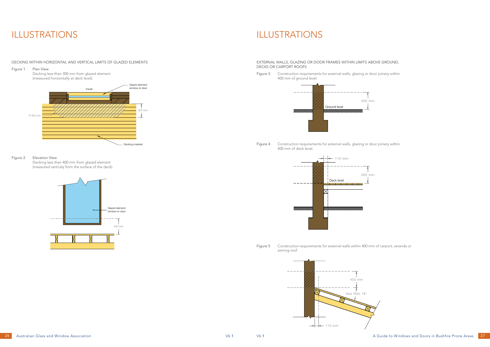## ILLUSTRATIONS ILLUSTRATIONS

### DECKING WITHIN HORIZONTAL AND VERTICAL LIMITS OF GLAZED ELEMENTS

Figure 1 Plan View

Decking less than 300 mm from glazed element (measured horizontally at deck level).

EXTERNAL WALLS, GLAZING OR DOOR FRAMES WITHIN LIMITS ABOVE GROUND, DECKS OR CARPORT ROOFS

Figure 3 Construction requirements for external walls, glazing or door joinery within 400 mm of ground level.

### Figure 2 Elevation View

Decking less than 400 mm from glazed element (measured verticaly from the surface of the deck). Figure 4 Construction requirements for external walls, glazing or door joinery within 400 mm of deck level.

Figure 5 Construction requirements for external walls within 400 mm of carport, veranda or awning roof.